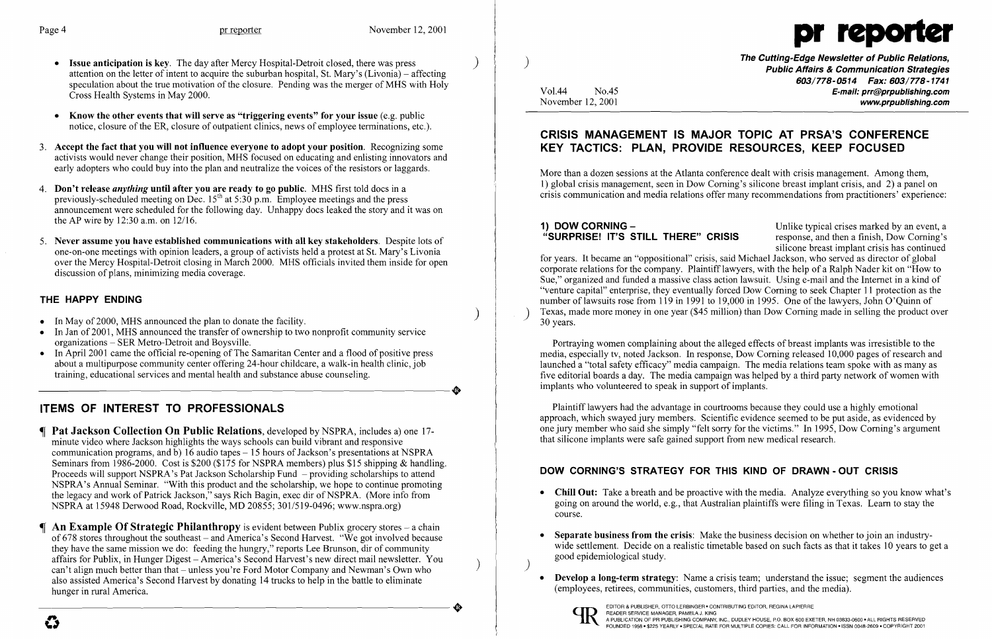

- Issue anticipation is key. The day after Mercy Hospital-Detroit closed, there was press attention on the letter of intent to acquire the suburban hospital, St. Mary's (Livonia) – affecting speculation about the true motivation of the closure. Pending was the merger of MHS with Holy Cross Health Systems in May 2000.
- Know the other events that will serve as "triggering events" for your issue (e.g. public notice, closure of the ER, closure of outpatient clinics, news of employee terminations, etc.).
- 3. Accept the fact that you will not influence everyone to adopt your position. Recognizing some activists would never change their position, MHS focused on educating and enlisting innovators and early adopters who could buy into the plan and neutralize the voices of the resistors or laggards.
- 4. Don't release *anything* until after you are ready to go public. MHS first told docs in a previously-scheduled meeting on Dec.  $15<sup>th</sup>$  at 5:30 p.m. Employee meetings and the press announcement were scheduled for the following day. Unhappy docs leaked the story and it was on the AP wire by 12:30 a.m. on 12/16.
- 5. Never assume you have established communications with all key stakeholders. Despite lots of one-on-one meetings with opinion leaders, a group of activists held a protest at St. Mary's Livonia over the Mercy Hospital-Detroit closing in March 2000. MHS officials invited them inside for open discussion of plans, minimizing media coverage.

- In May of 2000, MHS announced the plan to donate the facility.
- In Jan of 2001, MHS announced the transfer of ownership to two nonprofit community service organizations - SER Metro-Detroit and Boysville.
- In April 2001 came the official re-opening of The Samaritan Center and a flood of positive press about a multipurpose community center offering 24-hour childcare, a walk-in health clinic, job training, educational services and mental health and substance abuse counseling. training, educational services and mental health and substance abuse counseling.

## THE HAPPY ENDING

The Cutting-Edge Newsletter of Public Relations, ) Public Affairs & Communication Strategies *603/778-0514 Fax: 603/778-1741*  Vo1.44 No.45 E-mail: prr@prpublishing.com November 12, 2001 www.proublishing.com

# ITEMS OF INTEREST TO PROFESSIONALS

1) DOW CORNING – Unlike typical crises marked by an event, a<br>
"SURPRISE! IT'S STILL THERE" CRISIS response, and then a finish. Dow Corning's response, and then a finish, Dow Corning's silicone breast implant crisis has continued for years. It became an "oppositional" crisis, said Michael Jackson, who served as director of global corporate relations for the company. Plaintiff lawyers, with the help of a Ralph Nader kit on "How to Sue," organized and funded a massive class action lawsuit. Using e-mail and the Internet in a kind of "venture capital" enterprise, they eventually forced Dow Coming to seek Chapter 11 protection as the number of lawsuits rose from 119 in 1991 to 19,000 in 1995. One of the lawyers, John O'Quinn of Texas, made more money in one year (\$45 million) than Dow Corning made in selling the product over 30 years.

- Pat Jackson Collection On Public Relations, developed by NSPRA, includes a) one 17 minute video where Jackson highlights the ways schools can build vibrant and responsive communication programs, and b)  $16$  audio tapes  $-15$  hours of Jackson's presentations at NSPRA Seminars from 1986-2000. Cost is \$200 (\$175 for NSPRA members) plus \$15 shipping & handling. Proceeds will support NSPRA's Pat Jackson Scholarship Fund - providing scholarships to attend NSPRA's Annual Seminar. "With this product and the scholarship, we hope to continue promoting the legacy and work of Patrick Jackson," says Rich Bagin, exec dir of NSPRA. (More info from NSPRA at 15948 Derwood Road, Rockville, MD 20855; 301/519-0496; www.nspra.org)
- $\P$  An Example Of Strategic Philanthropy is evident between Publix grocery stores a chain of 678 stores throughout the southeast – and America's Second Harvest. "We got involved because they have the same mission we do: feeding the hungry," reports Lee Brunson, dir of community affairs for Publix, in Hunger Digest – America's Second Harvest's new direct mail newsletter. You can't align much better than that - unless you're Ford Motor Company and Newman's Own who also assisted America's Second Harvest by donating 14 trucks to help in the battle to eliminate<br>hunger in rural America. hunger in rural America.

• Chill Out: Take a breath and be proactive with the media. Analyze everything so you know what's going on around the world, e.g., that Australian plaintiffs were filing in Texas. Learn to stay the

• Separate business from the crisis: Make the business decision on whether to join an industrywide settlement. Decide on a realistic timetable based on such facts as that it takes 10 years to get a

• Develop a long-term strategy: Name a crisis team; understand the issue; segment the audiences

# CRISIS MANAGEMENT IS MAJOR TOPIC AT PRSA'S CONFERENCE KEY TACTICS: PLAN, PROVIDE RESOURCES, KEEP FOCUSED

More than a dozen sessions at the Atlanta conference dealt with crisis management. Among them, 1) global crisis management, seen in Dow Coming's silicone breast implant crisis, and 2) a panel on crisis communication and media relations offer many recommendations from practitioners' experience:

Portraying women complaining about the alleged effects of breast implants was irresistible to the media, especially tv, noted Jackson. In response, Dow Coming released 10,000 pages of research and launched a "total safety efficacy" media campaign. The media relations team spoke with as many as five editorial boards a day. The media campaign was helped by a third party network of women with implants who volunteered to speak in support of implants.

Plaintiff lawyers had the advantage in courtrooms because they could use a highly emotional approach, which swayed jury members. Scientific evidence seemed to be put aside, as evidenced by one jury member who said she simply "felt sorry for the victims." In 1995, Dow Coming's argument that silicone implants were safe gained support from new medical research.

# DOW CORNING'S STRATEGY FOR THIS KIND OF DRAWN - OUT CRISIS

- course.
- good epidemiological study. )
- (employees, retirees, communities, customers, third parties, and the media).